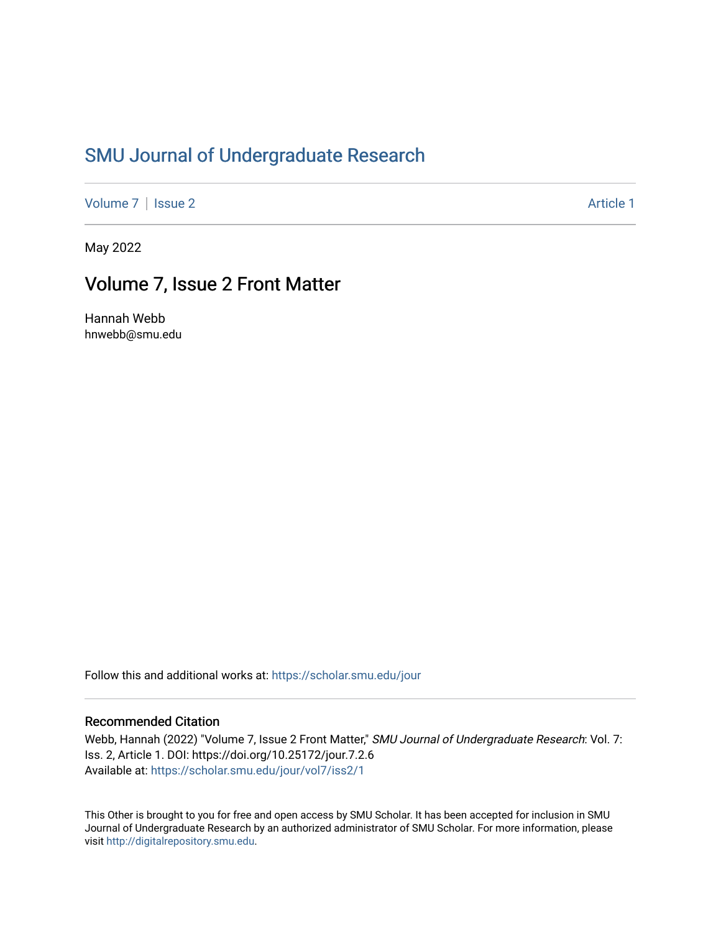## [SMU Journal of Undergraduate Research](https://scholar.smu.edu/jour)

[Volume 7](https://scholar.smu.edu/jour/vol7) | [Issue 2](https://scholar.smu.edu/jour/vol7/iss2) Article 1

May 2022

## Volume 7, Issue 2 Front Matter

Hannah Webb hnwebb@smu.edu

Follow this and additional works at: [https://scholar.smu.edu/jour](https://scholar.smu.edu/jour?utm_source=scholar.smu.edu%2Fjour%2Fvol7%2Fiss2%2F1&utm_medium=PDF&utm_campaign=PDFCoverPages) 

#### Recommended Citation

Webb, Hannah (2022) "Volume 7, Issue 2 Front Matter," SMU Journal of Undergraduate Research: Vol. 7: Iss. 2, Article 1. DOI: https://doi.org/10.25172/jour.7.2.6 Available at: [https://scholar.smu.edu/jour/vol7/iss2/1](https://scholar.smu.edu/jour/vol7/iss2/1?utm_source=scholar.smu.edu%2Fjour%2Fvol7%2Fiss2%2F1&utm_medium=PDF&utm_campaign=PDFCoverPages) 

This Other is brought to you for free and open access by SMU Scholar. It has been accepted for inclusion in SMU Journal of Undergraduate Research by an authorized administrator of SMU Scholar. For more information, please visit [http://digitalrepository.smu.edu](http://digitalrepository.smu.edu/).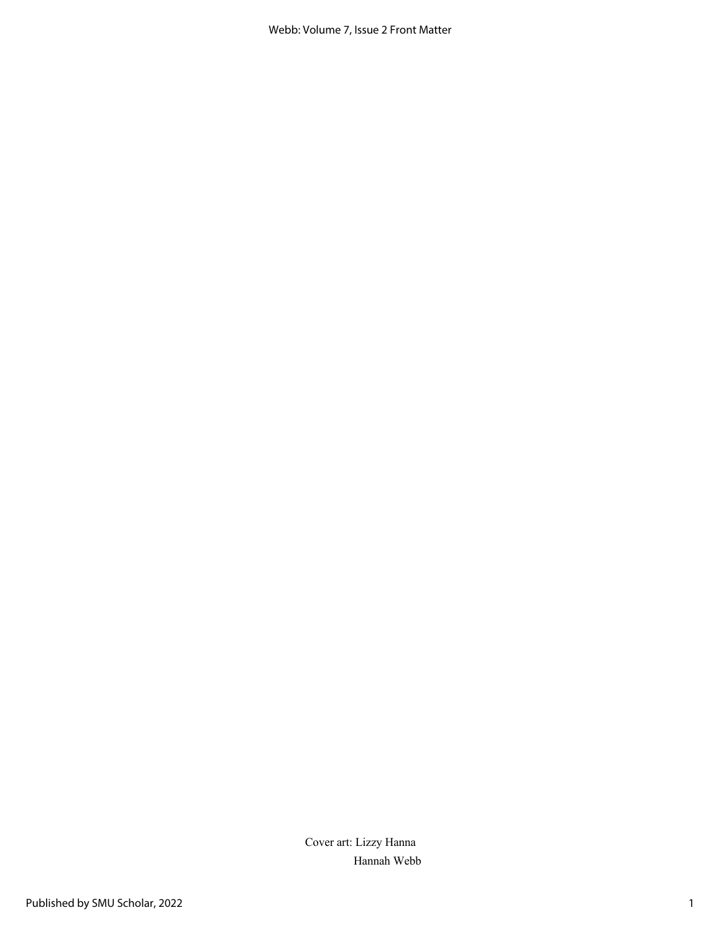Webb: Volume 7, Issue 2 Front Matter

Cover art: Lizzy Hanna Hannah Webb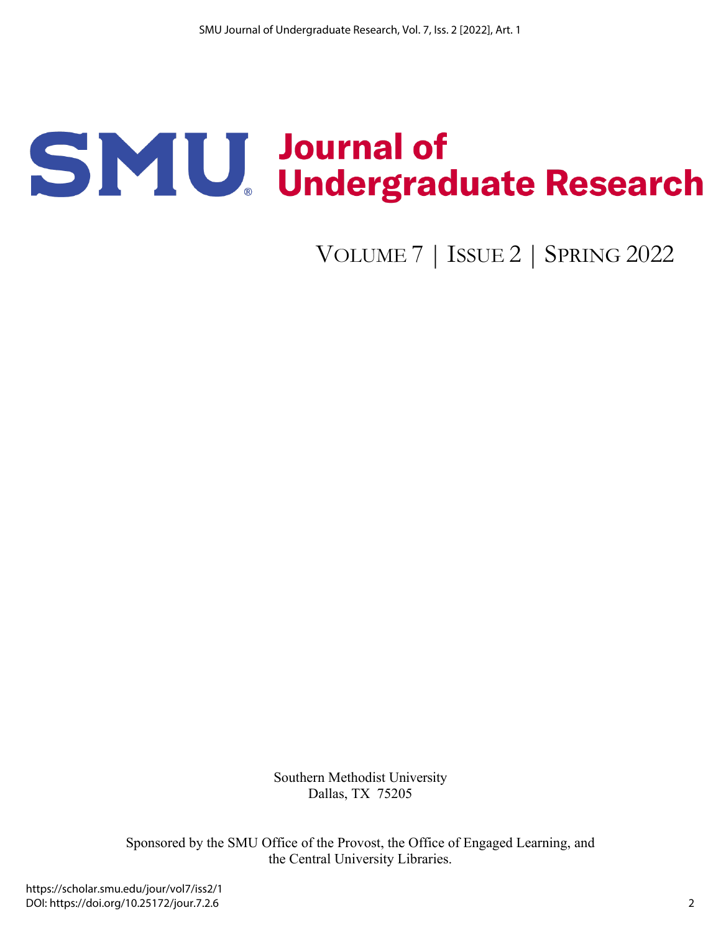# SMU Journal of<br>DIMU Undergraduate Research

VOLUME 7 | ISSUE 2 | SPRING 2022

Southern Methodist University Dallas, TX 75205

Sponsored by the SMU Office of the Provost, the Office of Engaged Learning, and the Central University Libraries.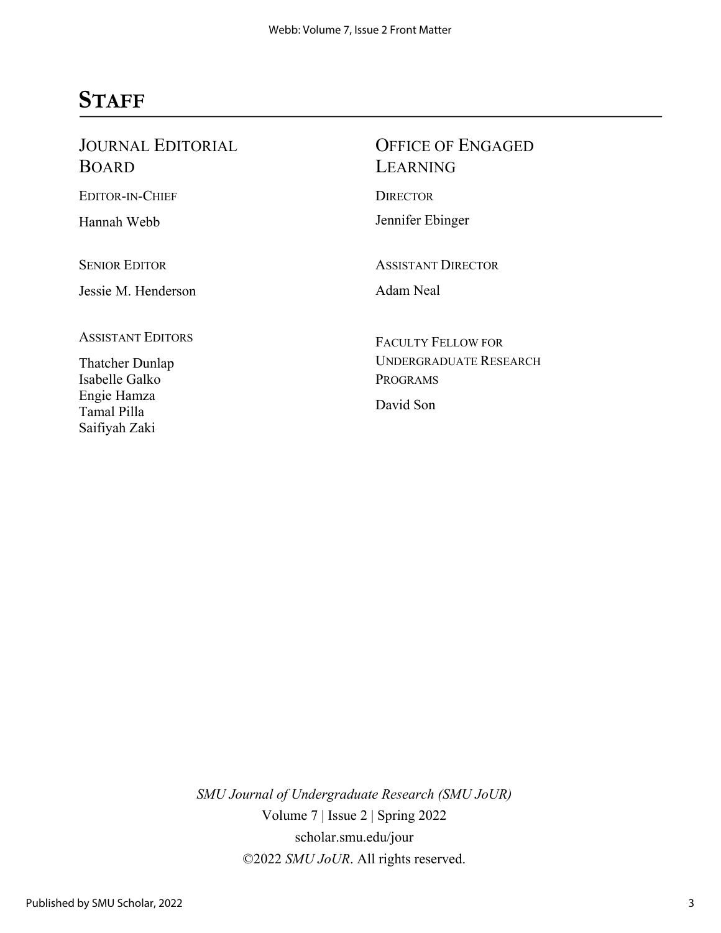# **STAFF**

## JOURNAL EDITORIAL BOARD

EDITOR-IN-CHIEF

Hannah Webb

SENIOR EDITOR

Jessie M. Henderson

ASSISTANT EDITORS

Thatcher Dunlap Isabelle Galko Engie Hamza Tamal Pilla Saifiyah Zaki

OFFICE OF ENGAGED LEARNING **DIRECTOR** Jennifer Ebinger ASSISTANT DIRECTOR Adam Neal

FACULTY FELLOW FOR UNDERGRADUATE RESEARCH PROGRAMS David Son

*SMU Journal of Undergraduate Research (SMU JoUR)* Volume 7 | Issue 2 | Spring 2022 scholar.smu.edu/jour ©2022 *SMU JoUR*. All rights reserved.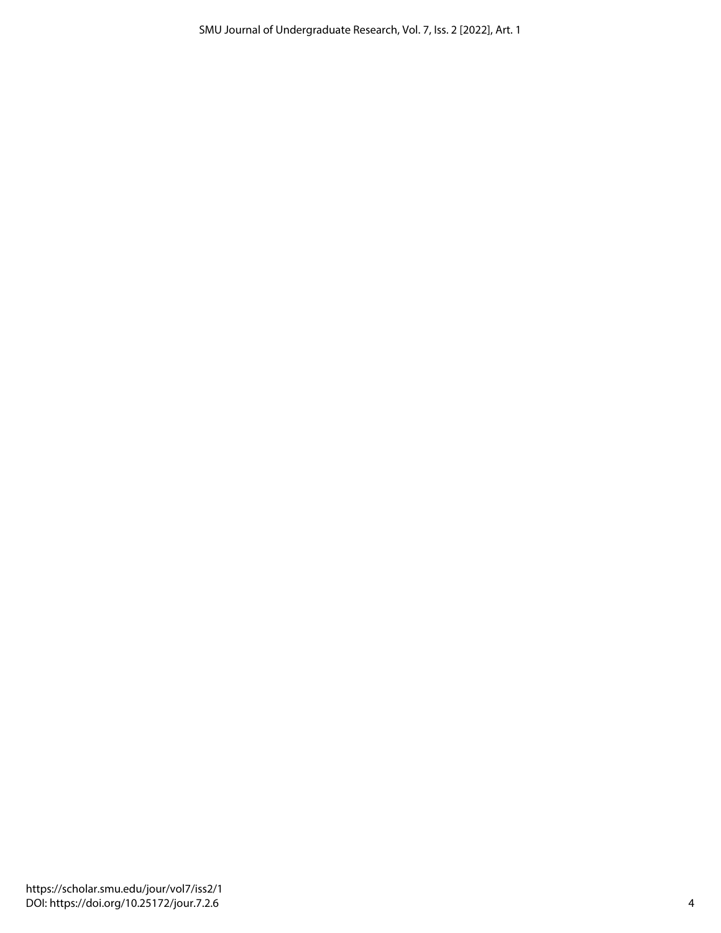SMU Journal of Undergraduate Research, Vol. 7, Iss. 2 [2022], Art. 1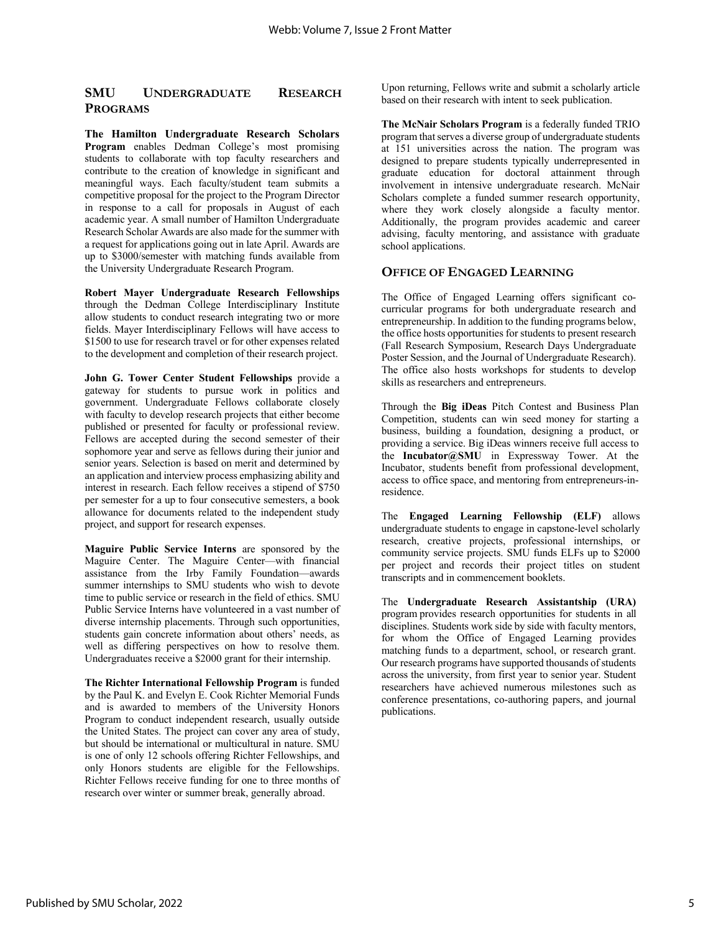#### **SMU UNDERGRADUATE RESEARCH PROGRAMS**

**The Hamilton Undergraduate Research Scholars Program** enables Dedman College's most promising students to collaborate with top faculty researchers and contribute to the creation of knowledge in significant and meaningful ways. Each faculty/student team submits a competitive proposal for the project to the Program Director in response to a call for proposals in August of each academic year. A small number of Hamilton Undergraduate Research Scholar Awards are also made for the summer with a request for applications going out in late April. Awards are up to \$3000/semester with matching funds available from the University Undergraduate Research Program.

**Robert Mayer Undergraduate Research Fellowships**  through the Dedman College Interdisciplinary Institute allow students to conduct research integrating two or more fields. Mayer Interdisciplinary Fellows will have access to \$1500 to use for research travel or for other expenses related to the development and completion of their research project.

**John G. Tower Center Student Fellowships** provide a gateway for students to pursue work in politics and government. Undergraduate Fellows collaborate closely with faculty to develop research projects that either become published or presented for faculty or professional review. Fellows are accepted during the second semester of their sophomore year and serve as fellows during their junior and senior years. Selection is based on merit and determined by an application and interview process emphasizing ability and interest in research. Each fellow receives a stipend of \$750 per semester for a up to four consecutive semesters, a book allowance for documents related to the independent study project, and support for research expenses.

**Maguire Public Service Interns** are sponsored by the Maguire Center. The Maguire Center—with financial assistance from the Irby Family Foundation—awards summer internships to SMU students who wish to devote time to public service or research in the field of ethics. SMU Public Service Interns have volunteered in a vast number of diverse internship placements. Through such opportunities, students gain concrete information about others' needs, as well as differing perspectives on how to resolve them. Undergraduates receive a \$2000 grant for their internship.

**The Richter International Fellowship Program** is funded by the Paul K. and Evelyn E. Cook Richter Memorial Funds and is awarded to members of the University Honors Program to conduct independent research, usually outside the United States. The project can cover any area of study, but should be international or multicultural in nature. SMU is one of only 12 schools offering Richter Fellowships, and only Honors students are eligible for the Fellowships. Richter Fellows receive funding for one to three months of research over winter or summer break, generally abroad.

Upon returning, Fellows write and submit a scholarly article based on their research with intent to seek publication.

**The McNair Scholars Program** is a federally funded TRIO program that serves a diverse group of undergraduate students at 151 universities across the nation. The program was designed to prepare students typically underrepresented in graduate education for doctoral attainment through involvement in intensive undergraduate research. McNair Scholars complete a funded summer research opportunity, where they work closely alongside a faculty mentor. Additionally, the program provides academic and career advising, faculty mentoring, and assistance with graduate school applications.

#### **OFFICE OF ENGAGED LEARNING**

The Office of Engaged Learning offers significant cocurricular programs for both undergraduate research and entrepreneurship. In addition to the funding programs below, the office hosts opportunities for students to present research (Fall Research Symposium, Research Days Undergraduate Poster Session, and the Journal of Undergraduate Research). The office also hosts workshops for students to develop skills as researchers and entrepreneurs.

Through the **Big iDeas** Pitch Contest and Business Plan Competition, students can win seed money for starting a business, building a foundation, designing a product, or providing a service. Big iDeas winners receive full access to the **Incubator@SMU** in Expressway Tower. At the Incubator, students benefit from professional development, access to office space, and mentoring from entrepreneurs-inresidence.

The **Engaged Learning Fellowship (ELF)** allows undergraduate students to engage in capstone-level scholarly research, creative projects, professional internships, or community service projects. SMU funds ELFs up to \$2000 per project and records their project titles on student transcripts and in commencement booklets.

The **Undergraduate Research Assistantship (URA)**  program provides research opportunities for students in all disciplines. Students work side by side with faculty mentors, for whom the Office of Engaged Learning provides matching funds to a department, school, or research grant. Our research programs have supported thousands of students across the university, from first year to senior year. Student researchers have achieved numerous milestones such as conference presentations, co-authoring papers, and journal publications.